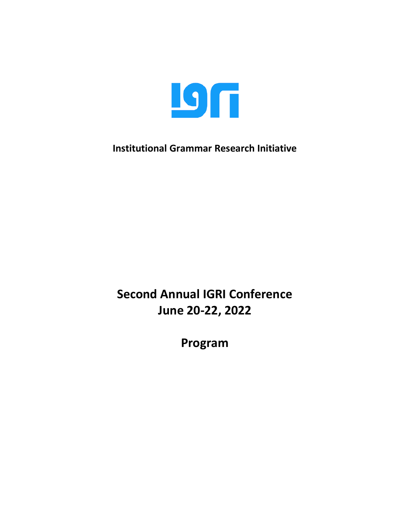

**Institutional Grammar Research Initiative**

**Second Annual IGRI Conference June 20-22, 2022**

**Program**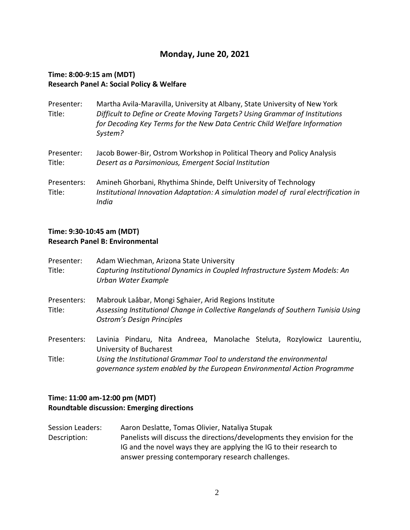## **Monday, June 20, 2021**

### **Time: 8:00-9:15 am (MDT) Research Panel A: Social Policy & Welfare**

| Presenter:<br>Title:  | Martha Avila-Maravilla, University at Albany, State University of New York<br>Difficult to Define or Create Moving Targets? Using Grammar of Institutions<br>for Decoding Key Terms for the New Data Centric Child Welfare Information<br>System? |
|-----------------------|---------------------------------------------------------------------------------------------------------------------------------------------------------------------------------------------------------------------------------------------------|
| Presenter:<br>Title:  | Jacob Bower-Bir, Ostrom Workshop in Political Theory and Policy Analysis<br>Desert as a Parsimonious, Emergent Social Institution                                                                                                                 |
| Presenters:<br>Title: | Amineh Ghorbani, Rhythima Shinde, Delft University of Technology<br>Institutional Innovation Adaptation: A simulation model of rural electrification in<br>India                                                                                  |

### **Time: 9:30-10:45 am (MDT) Research Panel B: Environmental**

| Presenter:<br>Title:  | Adam Wiechman, Arizona State University<br>Capturing Institutional Dynamics in Coupled Infrastructure System Models: An<br>Urban Water Example                                  |  |  |
|-----------------------|---------------------------------------------------------------------------------------------------------------------------------------------------------------------------------|--|--|
| Presenters:<br>Title: | Mabrouk Laâbar, Mongi Sghaier, Arid Regions Institute<br>Assessing Institutional Change in Collective Rangelands of Southern Tunisia Using<br><b>Ostrom's Design Principles</b> |  |  |
| Presenters:           | Lavinia Pindaru, Nita Andreea, Manolache Steluta, Rozylowicz Laurentiu,<br>University of Bucharest                                                                              |  |  |
| Title:                | Using the Institutional Grammar Tool to understand the environmental<br>governance system enabled by the European Environmental Action Programme                                |  |  |

## **Time: 11:00 am-12:00 pm (MDT) Roundtable discussion: Emerging directions**

Session Leaders: Aaron Deslatte, Tomas Olivier, Nataliya Stupak Description: Panelists will discuss the directions/developments they envision for the IG and the novel ways they are applying the IG to their research to answer pressing contemporary research challenges.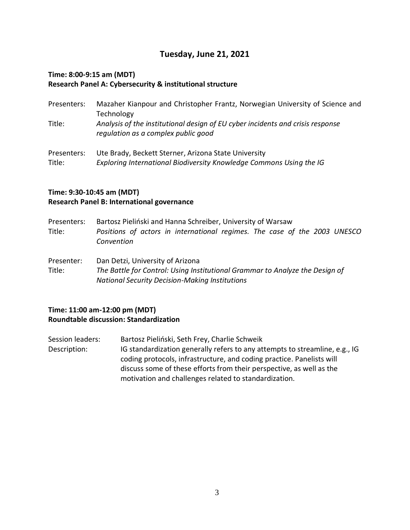## **Tuesday, June 21, 2021**

#### **Time: 8:00-9:15 am (MDT) Research Panel A: Cybersecurity & institutional structure**

- Presenters: Mazaher Kianpour and Christopher Frantz, Norwegian University of Science and Technology Title: *Analysis of the institutional design of EU cyber incidents and crisis response regulation as a complex public good*
- Presenters: Ute Brady, Beckett Sterner, Arizona State University Title: *Exploring International Biodiversity Knowledge Commons Using the IG*

### **Time: 9:30-10:45 am (MDT) Research Panel B: International governance**

- Presenters: Bartosz Pieliński and Hanna Schreiber, University of Warsaw Title: *Positions of actors in international regimes. The case of the 2003 UNESCO Convention*
- Presenter: Dan Detzi, University of Arizona Title: *The Battle for Control: Using Institutional Grammar to Analyze the Design of National Security Decision-Making Institutions*

#### **Time: 11:00 am-12:00 pm (MDT) Roundtable discussion: Standardization**

Session leaders: Bartosz Pieliński, Seth Frey, Charlie Schweik Description: IG standardization generally refers to any attempts to streamline, e.g., IG coding protocols, infrastructure, and coding practice. Panelists will discuss some of these efforts from their perspective, as well as the motivation and challenges related to standardization.